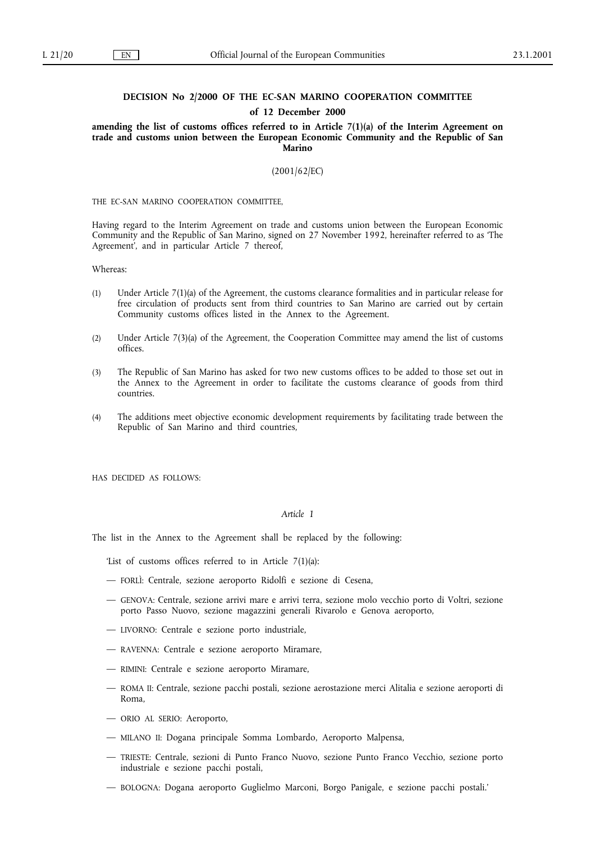## **DECISION No 2/2000 OF THE EC-SAN MARINO COOPERATION COMMITTEE of 12 December 2000**

**amending the list of customs offices referred to in Article 7(1)(a) of the Interim Agreement on trade and customs union between the European Economic Community and the Republic of San Marino**

(2001/62/EC)

THE EC-SAN MARINO COOPERATION COMMITTEE,

Having regard to the Interim Agreement on trade and customs union between the European Economic Community and the Republic of San Marino, signed on 27 November 1992, hereinafter referred to as 'The Agreement', and in particular Article 7 thereof,

Whereas:

- (1) Under Article 7(1)(a) of the Agreement, the customs clearance formalities and in particular release for free circulation of products sent from third countries to San Marino are carried out by certain Community customs offices listed in the Annex to the Agreement.
- (2) Under Article 7(3)(a) of the Agreement, the Cooperation Committee may amend the list of customs offices.
- (3) The Republic of San Marino has asked for two new customs offices to be added to those set out in the Annex to the Agreement in order to facilitate the customs clearance of goods from third countries.
- (4) The additions meet objective economic development requirements by facilitating trade between the Republic of San Marino and third countries,

HAS DECIDED AS FOLLOWS:

## *Article 1*

The list in the Annex to the Agreement shall be replaced by the following:

'List of customs offices referred to in Article 7(1)(a):

- FORLÌ: Centrale, sezione aeroporto Ridolfi e sezione di Cesena,
- GENOVA: Centrale, sezione arrivi mare e arrivi terra, sezione molo vecchio porto di Voltri, sezione porto Passo Nuovo, sezione magazzini generali Rivarolo e Genova aeroporto,
- LIVORNO: Centrale e sezione porto industriale,
- RAVENNA: Centrale e sezione aeroporto Miramare,
- RIMINI: Centrale e sezione aeroporto Miramare,
- ROMA II: Centrale, sezione pacchi postali, sezione aerostazione merci Alitalia e sezione aeroporti di Roma,
- ORIO AL SERIO: Aeroporto,
- MILANO II: Dogana principale Somma Lombardo, Aeroporto Malpensa,
- TRIESTE: Centrale, sezioni di Punto Franco Nuovo, sezione Punto Franco Vecchio, sezione porto industriale e sezione pacchi postali,
- BOLOGNA: Dogana aeroporto Guglielmo Marconi, Borgo Panigale, e sezione pacchi postali.'